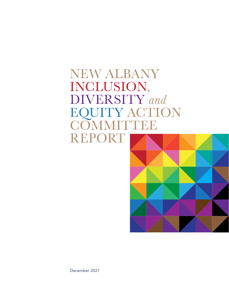### NEW ALBANY INCLUSION, DIVERSITY *and* EQUITY ACTION **COMMITTEE** REPORT



December 2021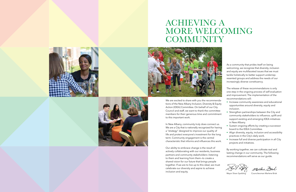We are excited to share with you the recommendations of the New Albany Inclusion, Diversity & Equity Action (IDEA) Committee. On behalf of our City Council and staff, we want to thank the committee members for their generous time and commitment to this important work.

In New Albany, community truly does connect us. We are a City that is nationally recognized for having a "strategy" designed to improve our quality of life and protect everyone's investment for the long term. Community engagement is the central characteristic that informs and influences this work.

Our ability to embrace change is the result of actively collaborating with our residents, business partners and community stakeholders—listening to them and learning from them—to create a shared vision for our future that brings people together. If we are to live up to this ideal, we must celebrate our diversity and aspire to achieve inclusion and equity.







## ACHIEVING A MORE WELCOMING **COMMUNITY**



As a community that prides itself on being welcoming, we recognize that diversity, inclusion and equity are multifaceted issues that we must tackle holistically to better support underrepresented groups and address the needs of our increasingly diverse constituency.

The release of these recommendations is only one step in the ongoing process of self-evaluation and improvement. The implementation of the recommendations will:

- Increase community awareness and educational opportunities around diversity, equity and inclusion.
- Strengthen partnerships between the City and community stakeholders to influence, uplift and support existing and emerging IDEA initiatives in New Albany.
- Sustain ongoing efforts by creating a successor board to the IDEA Committee.
- Align diversity, equity, inclusion and accessibility practices in the City's daily work.
- Increase full and diverse participation in all City projects and initiatives.

By working together, we can cultivate real and lasting change in our community. The following recommendations will serve as our guide.

Mahlane Eris

Mayor Sloan Spalding Councilwoman Marlene Brisk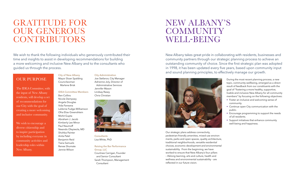We wish to thank the following individuals who generously contributed their time and insights to assist in developing recommendations for building a more welcoming and inclusive New Albany and to the consultants who guided us through the process.

**City of New Albany** 

#### Mayor Sloan Spalding Councilwoman Marlene Brisk

**IDEA Committee Members** 

Ben Collins Nicole Dempsey Angela Douglas Vida Farwana LaVerne Fudge-Williamson Ofra Eliav Greenshtein Mohit Gupta Abraham J. Jacob Kimberly Lee Minor Paul Naumoff Nwando Olayiwola, MD Shohba Painter Anita Patel Benjamin Reid Tiana Samuels Renee Shumate Jennie Wilson

**City Administration**  Joe Stefanov, City Manager Adrienne Joly, Director of Administrative Services Jennifer Mason Lindsay Rasey Chris Christian



**Consultants** Lisa White, PhD

**Raising the Bar Performance Group, LLC**  Courtnee Carrigan, Founder and Senior Consultant

Sarah Thompson, Management Consultant

## GRATITUDE FOR OUR GENEROUS CONTRIBUTORS

### OUR PURPOSE

The IDEA Committee, with the input of New Albany residents, will develop a set of recommendations for our City with the goal of creating a more welcoming and inclusive community.

We wish to encourage a diverse citizenship and to inspire participation by including everyone in community activities and leadership roles within New Albany.

New Albany takes great pride in collaborating with residents, businesses and community partners through our strategic planning process to achieve an outstanding community of choice. Since the first strategic plan was adopted in 1998, it has been updated every five years, based upon community input and sound planning principles, to effectively manage our growth.



Our strategic plans address connectivity, pedestrian-friendly amenities, mixed-use environments, parks and open spaces, quality architecture, traditional neighborhoods, versatile residential choices, economic development and environmental sustainability. From the beginning, we have worked to ensure that New Albany's four pillars – lifelong learning, arts and culture, health and wellness and environmental sustainability – are reflected in our future vision.

During the most recent planning process, a new topic, community-wellbeing, emerged as a direct result of feedback from our constituents with the goal of "fostering a more healthy, supportive, livable and inclusive New Albany for all community members" by focusing on the following objectives:

- Foster an inclusive and welcoming sense of community.
- Continue open City communication with the public.
- Encourage programming to support the needs of all residents.
- Support initiatives that enhance community well-being and happiness.

## NEW ALBANY'S **COMMUNITY** WELL-BEING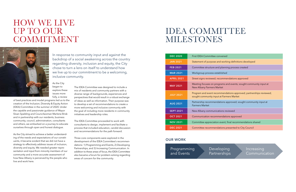In response to community input and against the backdrop of a social awakening across the country regarding diversity, inclusion and equity, the City chose to turn a lens on itself to understand how we live up to our commitment to be a welcoming, inclusive community.

As the City began to explore these issues more fully, a review

of best practices and model programs led us to the creation of the Inclusion, Diversity & Equity Action (IDEA) Committee in the summer of 2020. Under the capable and passionate guidance of Mayor Sloan Spalding and Councilwoman Marlene Brisk and in partnership with our residents, business community, council, administration, consultants and others, we embarked on a journey to educate ourselves through open and honest dialogue.

As the City strived to achieve a better understanding of the needs and expectations of our constituents, it became evident that we did not have a strategy to effectively address issues of inclusion, diversity and equity. We needed greater representation and input from minority members of our community and a more accurate assessment of how New Albany is perceived by the people who live and work here.

The IDEA Committee was designed to include a mix of residents and community partners with a diverse range of backgrounds, experiences and perspectives that would result in a robust exchange of ideas as well as information. Their purpose was to develop a set of recommendations to create a more welcoming and inclusive community with the goal of including more residents in community initiatives and leadership roles.

The IDEA Committee proceeded to work with consultants to design, implement and facilitate a process that included education, candid discussion and recommendations for the path forward.

Three core components were explored in the development of the IDEA Committee's recommendations: 1) Programming and Events, 2) Developing Partnerships, and 3) Increasing Communication. In addition to these areas of focus, the IDEA Committee also became a forum for problem-solving regarding areas of concern for the community.

### HOW WE LIVE UP TO OUR COMMITMENT



# IDEA COMMITTEE MILESTONES

Programming and Events

### Developing Partnerships

Increasing Communication

| <b>DEC 2020</b>   | First IDEA Committee convened                                                                                  |
|-------------------|----------------------------------------------------------------------------------------------------------------|
| <b>JAN 2021</b>   | Statement of purpose and working definitions developed                                                         |
| <b>FEB 2021</b>   | Committee structure and planning process created                                                               |
| <b>MAR 2021</b>   | Workgroup process established                                                                                  |
| <b>APRIL 2021</b> | Street signs reviewed; recommendations approved                                                                |
| <b>MAY 2021</b>   | Meeting focuses on programs and events; sought community input at<br>New Albany Farmers Market                 |
| <b>JULY 2021</b>  | Program and event recommendations approved; partnerships reviewed;<br>sought community input at Farmers Market |
| <b>AUG 2021</b>   | Partnership recommendations approved; sought community input at<br><b>Farmers Market</b>                       |
| <b>SEPT 2021</b>  | New Albany communications reviewed                                                                             |
| <b>OCT 2021</b>   | Communication recommendations approved                                                                         |
| <b>NOV 2021</b>   | Committee appreciation event; final recommendations shared                                                     |
| <b>DEC 2021</b>   | Committee recommendations presented to City Council                                                            |
|                   |                                                                                                                |

#### **OUR WORK**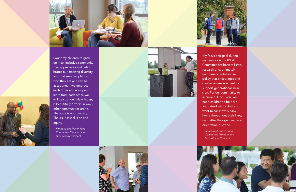My focus and goal during my tenure on the IDEA Committee has been to listen, research and, ultimately, recommend substantive policy that encourages and creates an environment to support generational inclu sion. For our community to achieve full inclusion, we need children to be born and raised with a desire to want to call New Albany home throughout their lives, no matter their gender, race,

orientation or creed.

*~ Abraham J. Jacob, Idea Committee Member and* 

*New Albany Resident*









I want my children to grow up in an inclusive community that appreciates and cele brates our amazing diversity, and that sees people for who they are and can be accepting. If we embrace each other and are open to learn from each other, we will be stronger. New Albany is beautifully diverse in ways other communities aren't. The issue is not diversity. The issue is inclusion and equity.

*~ Kimberly Lee Minor, Idea Committee Member and New Albany Resident*



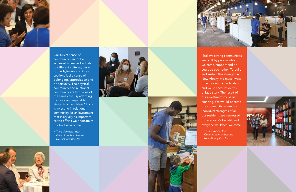



I believe strong communities are built by people who welcome, support and en courage each other. To build and sustain this strength in New Albany, we must invest time to identify, understand and value each resident's unique story. The result of our investment could be amazing. We would become the community where the individual strengths of all our residents are harnessed for everyone's benefit, and everyone would feel welcome.

*~ Jennie Wilson, Idea New Albany Resident*

*Committee Member and* 



Our fullest sense of community cannot be achieved unless individuals of different cultures, back grounds,beliefs and inter sections feel a sense of belonging, appreciation and opportunity. The physical community and relational community are two sides of the same coin. By adopting inclusive and equitable strategic action, New Albany is investing in relational community. It's an investment that is equally as important as the efforts we dedicate to the built environment.

*~ Tiana Samuels, Idea Committee Member and New Albany Resident*





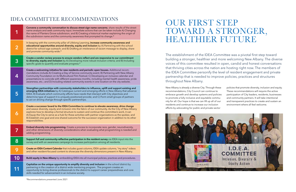The establishment of the IDEA Committee was a pivotal first step toward building a stronger, healthier and more welcoming New Albany. The diverse voices of this committee resulted in open, candid and honest conversations that thriving cities across the nation are hosting right now. The members of the IDEA Committee personify the level of resident engagement and private partnership that is needed to improve policies, practices and structures throughout New Albany.

New Albany is already a diverse City. Through these recommendations, City Council can continue to embrace growth and develop systems and policies to promote a fully inclusive and equitable community for all. Our hope is that we can lift up all of our residents and continue to increase our inclusion efforts by advocating for public and private sector



policies that promote diversity, inclusion and equity. These recommendations will require the active participation of City leaders, residents, businesses and community partners. It will take intentional and transparent practices to create and sustain an environment where all feel welcome.

## OUR FIRST STEP TOWARD A STRONGER, HEALTHIER FUTURE

### IDEA COMMITTEE RECOMMENDATIONS

|                | Convene a community conversation to discuss street sign name concerns; share results of the street<br>name analysis and seek community input. Immediate actions that can be taken include A) Changing<br>the name of Planters Grove subdivision; and B) Creating a historical marker explaining the origin of<br>the subdivision name and the community awareness that prompted its change.*                                                                                                                                                      |
|----------------|---------------------------------------------------------------------------------------------------------------------------------------------------------------------------------------------------------------------------------------------------------------------------------------------------------------------------------------------------------------------------------------------------------------------------------------------------------------------------------------------------------------------------------------------------|
| $\overline{2}$ | In keeping with the community pillar of Lifelong Learning, increase community awareness and<br>educational opportunities around diversity, equity and inclusion by A) Partnering with the school<br>district for school-age outreach; and B) Drafting an intolerance of racism message to display, share<br>and promote community-wide.*                                                                                                                                                                                                          |
| 3              | Create a vendor review process to ensure vendors reflect and are responsive to our commitment<br>to diversity, equity and inclusion by A) Developing more robust inclusion criteria; and B) Including<br>specific goals to quantify and evaluate progress.*                                                                                                                                                                                                                                                                                       |
|                | Create a welcoming initiative for new residents and periodic open houses. Additional recom-<br>mendations include A) Creating a Day of Service community event; B) Partnering with New Albany<br>Community Foundation on its Multicultural Film Festival; C) Developing an inclusive calendar and<br>presentations to coincide with different awareness months, including mental health awareness, pride<br>awareness, etc.; and D) Including related community events in one location on the city website.                                       |
| 5              | Strengthen partnerships with community stakeholders to influence, uplift and support existing and<br>emerging IDEA initiatives by A) Catalogue current and emerging efforts in New Albany that advance<br>IDEA; B) Evaluate which community efforts have needs that intersect with City objectives and<br>determine type of support it is uniquely positioned provide; and C) Form small groups of partners<br>to act on driving change through specific partnerships.                                                                            |
|                | Create a successor board to the IDEA Committee to continue to elevate awareness, drive change<br>and weave diversity, equity and inclusion into the fabric of our community. As the City of New Albany<br>explores how to develop a formal structure to sustain and continue this committee's work, it can<br>A) Equip the City to serve as a hub for these activities with partner organizations as the spokes; and<br>B) Establish one goal and one shared outcome for the successor organization in addition to its other<br>responsibilities. |
|                | Embed diversity into programming. Create a process to incorporate race, gender, neurodiversity,<br>and other dimensions of diversity considerations when evaluating what programming is needed and<br>adding programming.                                                                                                                                                                                                                                                                                                                         |
| 8              | Support full and community-reflective participation in the resident survey via IDEA input into the<br>survey and with an awareness campaign to increase participation among all residents.                                                                                                                                                                                                                                                                                                                                                        |
| 9              | Create an IDEA Content Calendar that includes guest columns, IDEA update columns, "my story" videos<br>and other resident-focused content to showcase the diversity dimensions present in New Albany.                                                                                                                                                                                                                                                                                                                                             |
| 10             | Build equity in New Albany by embedding IDEA into all municipal policies, practices and procedures.                                                                                                                                                                                                                                                                                                                                                                                                                                               |
|                | Capitalize on the unique opportunity to amplify diversity and inclusion in the school district by<br>partnering in the creation of a district wide mentoring program. The program creates an<br>opportunity to bring diverse professionals to the district to support career preparedness and core<br>skills needed for advancement in an inclusive society.                                                                                                                                                                                      |

\*Recommendations presented June 2021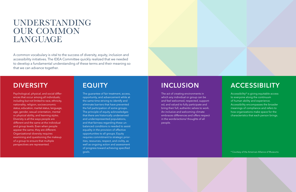A common vocabulary is vital to the success of diversity, equity, inclusion and accessibility initiatives. The IDEA Committee quickly realized that we needed to develop a fundamental understanding of these terms and their meaning so that we can advance together.

## UNDERSTANDING OUR COMMON LANGUAGE

### **DIVERSITY**

Psychological, physical, and social differences that occur among all individuals; including but not limited to race, ethnicity, nationality, religion, socioeconomic status, education, marital status, language, age, gender, sexual orientation, mental or physical ability, and learning styles. Diversity is all the ways people are different and the same at the individual and group levels. Even when people appear the same, they are different. Organizational diversity requires examining and questioning the makeup of a group to ensure that multiple perspectives are represented.

### **INCLUSION**

The act of creating environments in which any individual or group can be and feel welcomed, respected, supported, and valued to fully participate and bring their full, authentic selves to work. An inclusive and welcoming climate embraces differences and offers respect in the words/actions/ thoughts of all people.

### **EQUITY**

The guarantee of fair treatment, access, opportunity, and advancement while at the same time striving to identify and eliminate barriers that have prevented the full participation of some groups. The principle of equity acknowledges that there are historically underserved and underrepresented populations, and that fairness regarding these unbalanced conditions is needed to assist equality in the provision of effective opportunities to all groups. Equity requires commitment to strategic priorities, resources, respect, and civility, as well as ongoing action and assessment of progress toward achieving specified goals.

### **ACCESSIBILITY**

Accessibility\* is giving equitable access to everyone along the continuum of human ability and experience. Accessibility encompasses the broader meanings of compliance and refers to how organizations make space for the characteristics that each person brings.

\* Courtesy of the American Alliance of Museums